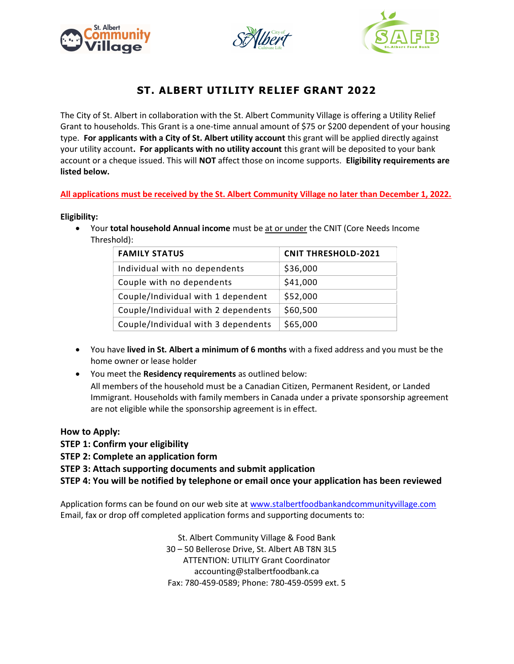





# ST. ALBERT UTILITY RELIEF GRANT 2022

The City of St. Albert in collaboration with the St. Albert Community Village is offering a Utility Relief Grant to households. This Grant is a one-time annual amount of \$75 or \$200 dependent of your housing type. For applicants with a City of St. Albert utility account this grant will be applied directly against your utility account. For applicants with no utility account this grant will be deposited to your bank account or a cheque issued. This will NOT affect those on income supports. Eligibility requirements are listed below.

## All applications must be received by the St. Albert Community Village no later than December 1, 2022.

## Eligibility:

• Your total household Annual income must be at or under the CNIT (Core Needs Income Threshold):

| <b>FAMILY STATUS</b>                | <b>CNIT THRESHOLD-2021</b> |
|-------------------------------------|----------------------------|
| Individual with no dependents       | \$36,000                   |
| Couple with no dependents           | \$41,000                   |
| Couple/Individual with 1 dependent  | \$52,000                   |
| Couple/Individual with 2 dependents | \$60,500                   |
| Couple/Individual with 3 dependents | \$65,000                   |

- You have lived in St. Albert a minimum of 6 months with a fixed address and you must be the home owner or lease holder
- You meet the Residency requirements as outlined below: All members of the household must be a Canadian Citizen, Permanent Resident, or Landed Immigrant. Households with family members in Canada under a private sponsorship agreement are not eligible while the sponsorship agreement is in effect.

## How to Apply:

- STEP 1: Confirm your eligibility
- STEP 2: Complete an application form

STEP 3: Attach supporting documents and submit application

STEP 4: You will be notified by telephone or email once your application has been reviewed

Application forms can be found on our web site at www.stalbertfoodbankandcommunityvillage.com Email, fax or drop off completed application forms and supporting documents to:

> St. Albert Community Village & Food Bank 30 – 50 Bellerose Drive, St. Albert AB T8N 3L5 ATTENTION: UTILITY Grant Coordinator accounting@stalbertfoodbank.ca Fax: 780-459-0589; Phone: 780-459-0599 ext. 5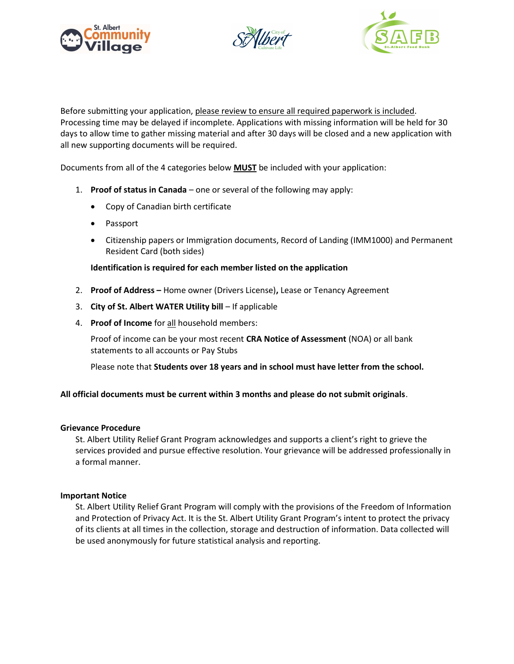





Before submitting your application, please review to ensure all required paperwork is included. Processing time may be delayed if incomplete. Applications with missing information will be held for 30 days to allow time to gather missing material and after 30 days will be closed and a new application with all new supporting documents will be required.

Documents from all of the 4 categories below **MUST** be included with your application:

- 1. Proof of status in Canada one or several of the following may apply:
	- Copy of Canadian birth certificate
	- Passport
	- Citizenship papers or Immigration documents, Record of Landing (IMM1000) and Permanent Resident Card (both sides)

## Identification is required for each member listed on the application

- 2. Proof of Address Home owner (Drivers License), Lease or Tenancy Agreement
- 3. City of St. Albert WATER Utility bill If applicable
- 4. Proof of Income for all household members:

Proof of income can be your most recent CRA Notice of Assessment (NOA) or all bank statements to all accounts or Pay Stubs

Please note that Students over 18 years and in school must have letter from the school.

## All official documents must be current within 3 months and please do not submit originals.

## Grievance Procedure

St. Albert Utility Relief Grant Program acknowledges and supports a client's right to grieve the services provided and pursue effective resolution. Your grievance will be addressed professionally in a formal manner.

## Important Notice

St. Albert Utility Relief Grant Program will comply with the provisions of the Freedom of Information and Protection of Privacy Act. It is the St. Albert Utility Grant Program's intent to protect the privacy of its clients at all times in the collection, storage and destruction of information. Data collected will be used anonymously for future statistical analysis and reporting.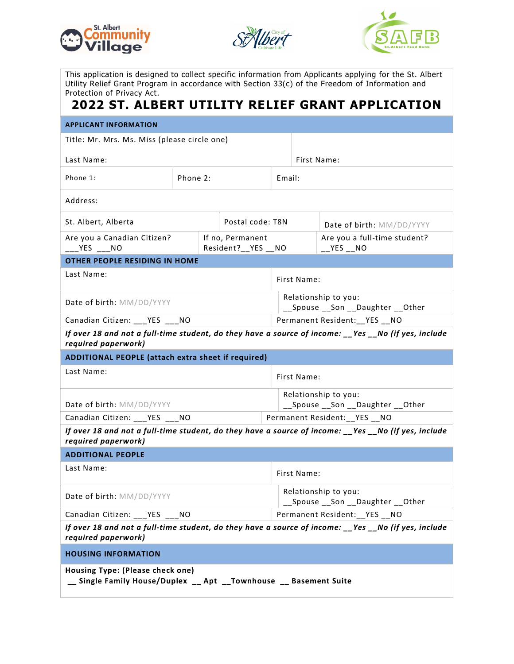





This application is designed to collect specific information from Applicants applying for the St. Albert Utility Relief Grant Program in accordance with Section 33(c) of the Freedom of Information and Protection of Privacy Act.

# 2022 ST. ALBERT UTILITY RELIEF GRANT APPLICATION

| <b>APPLICANT INFORMATION</b>                                                                                                |                                                                   |  |                                         |                                                            |             |                                                                                                      |  |
|-----------------------------------------------------------------------------------------------------------------------------|-------------------------------------------------------------------|--|-----------------------------------------|------------------------------------------------------------|-------------|------------------------------------------------------------------------------------------------------|--|
| Title: Mr. Mrs. Ms. Miss (please circle one)                                                                                |                                                                   |  |                                         |                                                            |             |                                                                                                      |  |
| Last Name:                                                                                                                  |                                                                   |  |                                         |                                                            | First Name: |                                                                                                      |  |
| Phone 1:                                                                                                                    | Phone 2:                                                          |  |                                         |                                                            | Email:      |                                                                                                      |  |
| Address:                                                                                                                    |                                                                   |  |                                         |                                                            |             |                                                                                                      |  |
| St. Albert, Alberta<br>Postal code: T8N                                                                                     |                                                                   |  |                                         | Date of birth: MM/DD/YYYY                                  |             |                                                                                                      |  |
| Are you a Canadian Citizen?<br>___YES ___NO                                                                                 |                                                                   |  | If no, Permanent<br>Resident?__YES __NO |                                                            |             | Are you a full-time student?<br>$YES$ _NO                                                            |  |
| <b>OTHER PEOPLE RESIDING IN HOME</b>                                                                                        |                                                                   |  |                                         |                                                            |             |                                                                                                      |  |
| Last Name:                                                                                                                  |                                                                   |  | First Name:                             |                                                            |             |                                                                                                      |  |
| Date of birth: MM/DD/YYYY                                                                                                   |                                                                   |  |                                         | Relationship to you:<br>Spouse __ Son __ Daughter __ Other |             |                                                                                                      |  |
| Canadian Citizen: ___YES ___NO                                                                                              |                                                                   |  | Permanent Resident: __ YES __ NO        |                                                            |             |                                                                                                      |  |
| required paperwork)                                                                                                         |                                                                   |  |                                         |                                                            |             | If over 18 and not a full-time student, do they have a source of income: __Yes __No (if yes, include |  |
| ADDITIONAL PEOPLE (attach extra sheet if required)                                                                          |                                                                   |  |                                         |                                                            |             |                                                                                                      |  |
| Last Name:<br>First Name:                                                                                                   |                                                                   |  |                                         |                                                            |             |                                                                                                      |  |
| Date of birth: MM/DD/YYYY                                                                                                   |                                                                   |  |                                         | Relationship to you:<br>__Spouse __Son __Daughter __Other  |             |                                                                                                      |  |
|                                                                                                                             | Canadian Citizen: ___ YES ___ NO<br>Permanent Resident:__YES __NO |  |                                         |                                                            |             |                                                                                                      |  |
| If over 18 and not a full-time student, do they have a source of income: __Yes __No (if yes, include<br>required paperwork) |                                                                   |  |                                         |                                                            |             |                                                                                                      |  |
| <b>ADDITIONAL PEOPLE</b>                                                                                                    |                                                                   |  |                                         |                                                            |             |                                                                                                      |  |
| Last Name:                                                                                                                  |                                                                   |  | First Name:                             |                                                            |             |                                                                                                      |  |
| Date of birth: MM/DD/YYYY                                                                                                   |                                                                   |  |                                         | Relationship to you:<br>__Spouse __Son __Daughter __Other  |             |                                                                                                      |  |
| Canadian Citizen: ___ YES ___ NO                                                                                            |                                                                   |  |                                         | Permanent Resident:__YES __NO                              |             |                                                                                                      |  |
| If over 18 and not a full-time student, do they have a source of income: __Yes __No (if yes, include<br>required paperwork) |                                                                   |  |                                         |                                                            |             |                                                                                                      |  |
| <b>HOUSING INFORMATION</b>                                                                                                  |                                                                   |  |                                         |                                                            |             |                                                                                                      |  |
| Housing Type: (Please check one)<br>__ Single Family House/Duplex __ Apt __ Townhouse __ Basement Suite                     |                                                                   |  |                                         |                                                            |             |                                                                                                      |  |